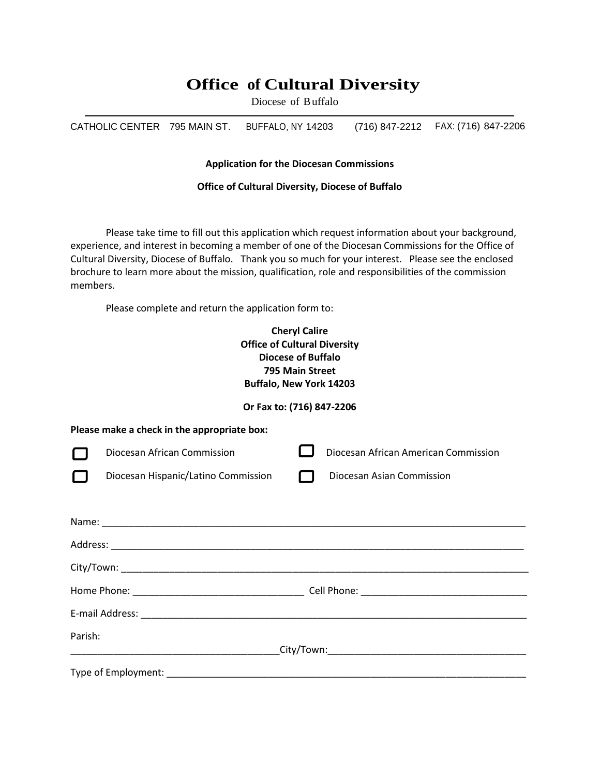# **Office of Cultural Diversity**

Diocese of Buffalo

CATHOLIC CENTER 795 MAIN ST. BUFFALO, NY 14203 (716) 847-2212 FAX: (716) 847-2206

## **Application for the Diocesan Commissions**

#### **Office of Cultural Diversity, Diocese of Buffalo**

Please take time to fill out this application which request information about your background, experience, and interest in becoming a member of one of the Diocesan Commissions for the Office of Cultural Diversity, Diocese of Buffalo. Thank you so much for your interest. Please see the enclosed brochure to learn more about the mission, qualification, role and responsibilities of the commission members.

Please complete and return the application form to:

## **Cheryl Calire Office of Cultural Diversity Diocese of Buffalo 795 Main Street Buffalo, New York 14203**

## **Or Fax to: (716) 847-2206**

| Please make a check in the appropriate box: |                                     |  |                                      |  |
|---------------------------------------------|-------------------------------------|--|--------------------------------------|--|
| ட                                           | Diocesan African Commission         |  | Diocesan African American Commission |  |
| L                                           | Diocesan Hispanic/Latino Commission |  | Diocesan Asian Commission            |  |
|                                             |                                     |  |                                      |  |
|                                             |                                     |  |                                      |  |
|                                             |                                     |  |                                      |  |
|                                             |                                     |  |                                      |  |
|                                             |                                     |  |                                      |  |
|                                             |                                     |  |                                      |  |
| Parish:                                     |                                     |  |                                      |  |
|                                             |                                     |  |                                      |  |
| Type of Employment:                         |                                     |  |                                      |  |